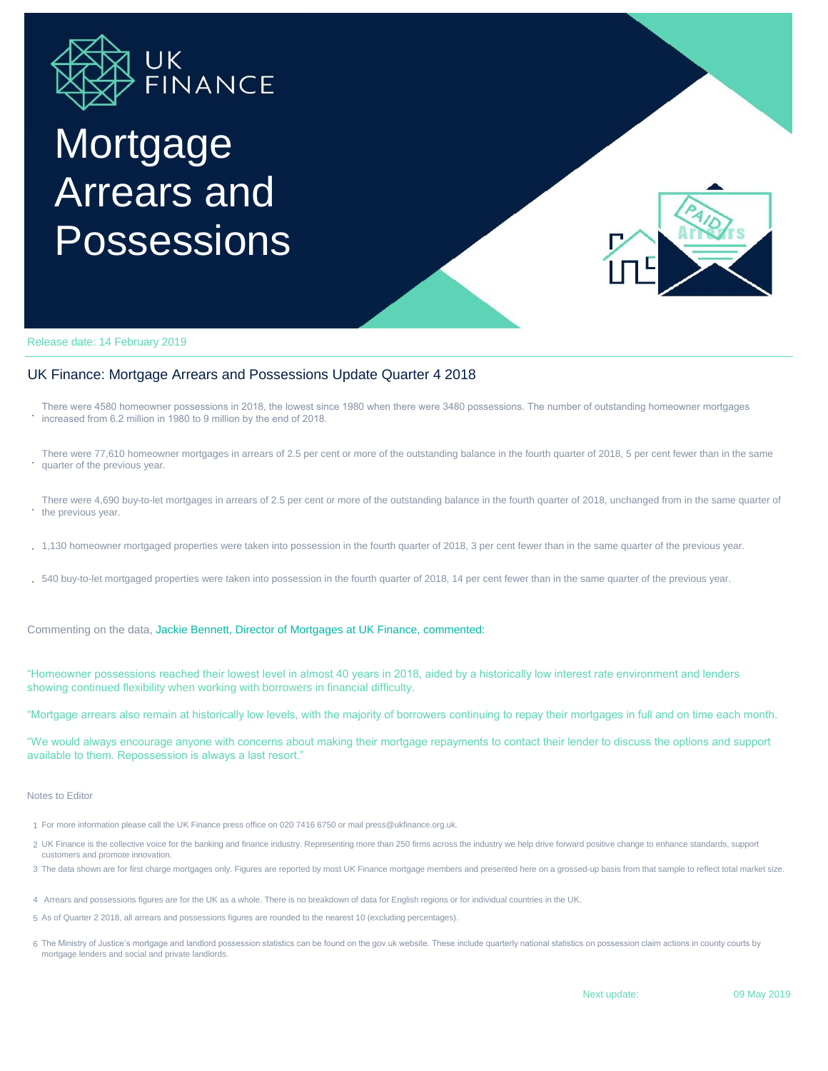

# Mortgage Arrears and **Possessions**



Release date: 14 February 2019

### UK Finance: Mortgage Arrears and Possessions Update Quarter 4 2018

**.** increased from 6.2 million in 1980 to 9 million by the end of 2018. There were 4580 homeowner possessions in 2018, the lowest since 1980 when there were 3480 possessions. The number of outstanding homeowner mortgages

- **.** There were 77,610 homeowner mortgages in arrears of 2.5 per cent or more of the outstanding balance in the fourth quarter of 2018, 5 per cent fewer than in the same quarter of the previous year.
- **.** the previous year. There were 4,690 buy-to-let mortgages in arrears of 2.5 per cent or more of the outstanding balance in the fourth quarter of 2018, unchanged from in the same quarter of
- **.** 1,130 homeowner mortgaged properties were taken into possession in the fourth quarter of 2018, 3 per cent fewer than in the same quarter of the previous year.
- **.** 540 buy-to-let mortgaged properties were taken into possession in the fourth quarter of 2018, 14 per cent fewer than in the same quarter of the previous year.

Commenting on the data, Jackie Bennett, Director of Mortgages at UK Finance, commented:

"Homeowner possessions reached their lowest level in almost 40 years in 2018, aided by a historically low interest rate environment and lenders showing continued flexibility when working with borrowers in financial difficulty.

"Mortgage arrears also remain at historically low levels, with the majority of borrowers continuing to repay their mortgages in full and on time each month.

"We would always encourage anyone with concerns about making their mortgage repayments to contact their lender to discuss the options and support available to them. Repossession is always a last resort."

#### Notes to Editor

- 1 For more information please call the UK Finance press office on 020 7416 6750 or mail press@ukfinance.org.uk.
- 2 UK Finance is the collective voice for the banking and finance industry. Representing more than 250 firms across the industry we help drive forward positive change to enhance standards, support customers and promote innovation.
- 3 The data shown are for first charge mortgages only. Figures are reported by most UK Finance mortgage members and presented here on a grossed-up basis from that sample to reflect total market size.
- 4 Arrears and possessions figures are for the UK as a whole. There is no breakdown of data for English regions or for individual countries in the UK.
- 5 As of Quarter 2 2018, all arrears and possessions figures are rounded to the nearest 10 (excluding percentages).
- 6 The Ministry of Justice's mortgage and landlord possession statistics can be found on the gov.uk website. These include quarterly national statistics on possession claim actions in county courts by mortgage lenders and social and private landlords.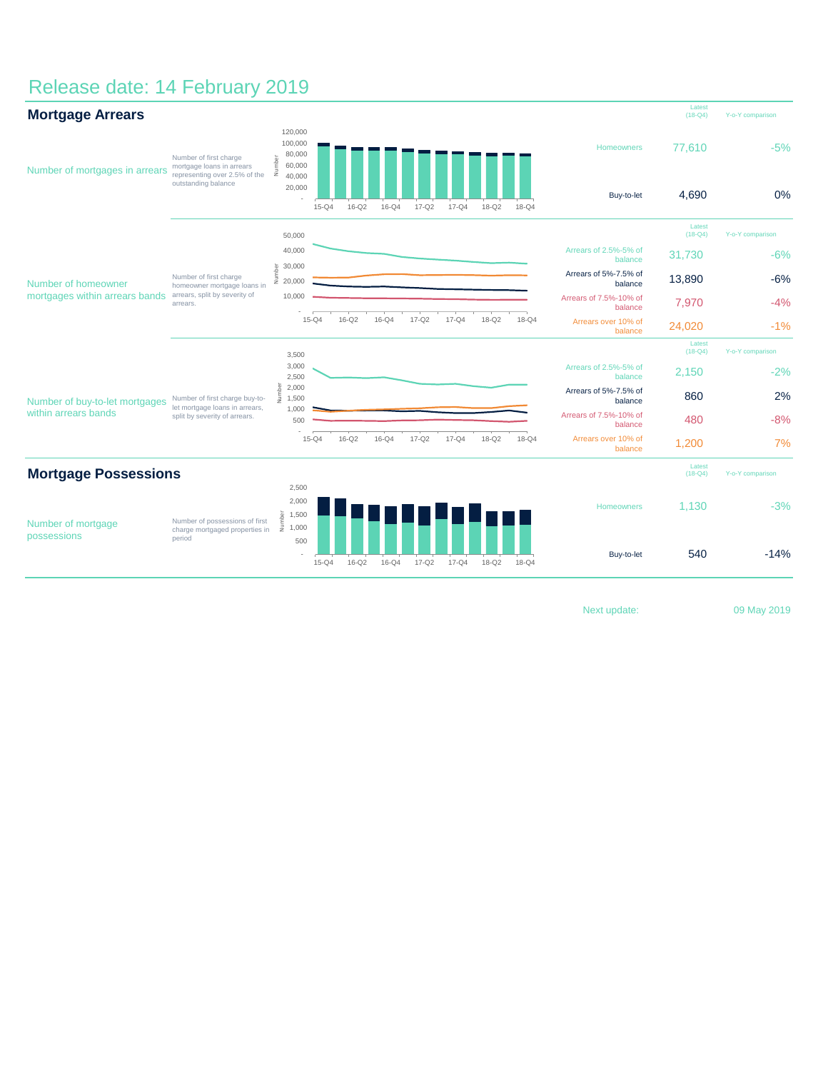## Release date: 14 February 2019

| <b>Mortgage Arrears</b>                                |                                                                                                             |                                                                                   |           |           |           |           |           |           |           |                                   | Latest<br>$(18 - Q4)$ | Y-o-Y comparison |
|--------------------------------------------------------|-------------------------------------------------------------------------------------------------------------|-----------------------------------------------------------------------------------|-----------|-----------|-----------|-----------|-----------|-----------|-----------|-----------------------------------|-----------------------|------------------|
| Number of mortgages in arrears                         | Number of first charge<br>mortgage loans in arrears<br>representing over 2.5% of the<br>outstanding balance | 120,000<br>100,000<br>80,000<br>Number<br>60,000<br>40,000                        |           |           |           |           |           |           |           | Homeowners                        | 77,610                | $-5%$            |
|                                                        |                                                                                                             | 20,000                                                                            | $15 - Q4$ | $16 - Q2$ | $16-Q4$   | $17 - Q2$ | $17 - Q4$ | $18-Q2$   | $18 - Q4$ | Buy-to-let                        | 4,690                 | 0%               |
| Number of homeowner<br>mortgages within arrears bands  | Number of first charge<br>homeowner mortgage loans in<br>arrears, split by severity of<br>arrears.          | 50,000                                                                            |           |           |           |           |           |           |           |                                   | Latest<br>$(18 - Q4)$ | Y-o-Y comparison |
|                                                        |                                                                                                             | 40,000                                                                            |           |           |           |           |           |           |           | Arrears of 2.5%-5% of<br>balance  | 31,730                | $-6%$            |
|                                                        |                                                                                                             | 30,000<br>Number<br>20,000                                                        |           |           |           |           |           |           |           | Arrears of 5%-7.5% of<br>balance  | 13,890                | $-6%$            |
|                                                        |                                                                                                             | 10,000                                                                            |           |           |           |           |           |           |           | Arrears of 7.5%-10% of<br>balance | 7,970                 | $-4%$            |
|                                                        |                                                                                                             |                                                                                   | $15-Q4$   | $16-Q2$   | $16-Q4$   | $17 - Q2$ | $17 - Q4$ | $18-Q2$   | $18 - Q4$ | Arrears over 10% of<br>balance    | 24,020                | $-1%$            |
|                                                        |                                                                                                             | 3,500                                                                             |           |           |           |           |           |           |           |                                   | Latest<br>$(18 - Q4)$ | Y-o-Y comparison |
| Number of buy-to-let mortgages<br>within arrears bands | Number of first charge buy-to-<br>let mortgage loans in arrears,<br>split by severity of arrears.           | 3,000<br>2,500                                                                    |           |           |           |           |           |           |           | Arrears of 2.5%-5% of<br>balance  | 2,150                 | $-2%$            |
|                                                        |                                                                                                             | Number<br>2,000<br>1,500                                                          |           |           |           |           |           |           |           | Arrears of 5%-7.5% of<br>balance  | 860                   | 2%               |
|                                                        |                                                                                                             | 1,000<br>500                                                                      |           |           |           |           |           |           |           | Arrears of 7.5%-10% of<br>balance | 480                   | $-8%$            |
|                                                        |                                                                                                             |                                                                                   | $15-Q4$   | $16-Q2$   | $16-Q4$   | $17 - Q2$ | $17 - Q4$ | $18-Q2$   | $18-Q4$   | Arrears over 10% of<br>balance    | 1,200                 | 7%               |
| <b>Mortgage Possessions</b>                            |                                                                                                             |                                                                                   |           |           |           |           |           |           |           |                                   | Latest<br>$(18-Q4)$   | Y-o-Y comparison |
| Number of mortgage<br>possessions                      | Number of possessions of first<br>charge mortgaged properties in<br>period                                  | 2,500<br>2,000                                                                    |           |           |           |           |           |           |           |                                   |                       |                  |
|                                                        |                                                                                                             | $\begin{array}{c} \frac{5}{2} \\ \frac{2}{5} \\ \frac{1}{2} \\ 1,000 \end{array}$ |           |           |           |           |           |           |           | Homeowners                        | 1,130                 | $-3%$            |
|                                                        |                                                                                                             | 500                                                                               | $15-Q4$   | $16 - Q2$ | $16 - Q4$ | $17 - Q2$ | $17 - Q4$ | $18 - Q2$ | $18 - Q4$ | Buy-to-let                        | 540                   | $-14%$           |

Next update: 09 May 2019